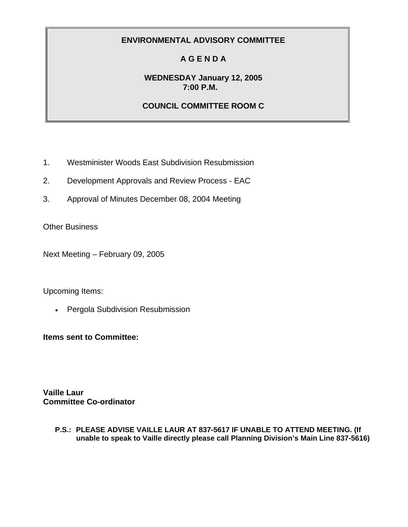# **A G E N D A**

### **WEDNESDAY January 12, 2005 7:00 P.M.**

### **COUNCIL COMMITTEE ROOM C**

- 1. Westminister Woods East Subdivision Resubmission
- 2. Development Approvals and Review Process EAC
- 3. Approval of Minutes December 08, 2004 Meeting

Other Business

Next Meeting – February 09, 2005

#### Upcoming Items:

• Pergola Subdivision Resubmission

**Items sent to Committee:** 

**Vaille Laur Committee Co-ordinator**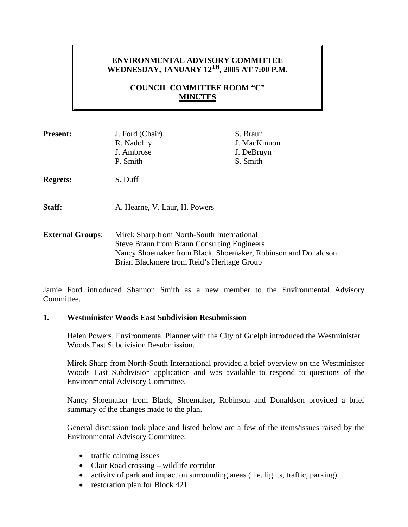## **ENVIRONMENTAL ADVISORY COMMITTEE WEDNESDAY, JANUARY 12TH, 2005 AT 7:00 P.M.**

### **COUNCIL COMMITTEE ROOM "C" MINUTES**

| <b>Present:</b>         | J. Ford (Chair)<br>R. Nadolny<br>J. Ambrose<br>P. Smith                                                                                                                                                         | S. Braun<br>J. MacKinnon<br>J. DeBruyn<br>S. Smith |
|-------------------------|-----------------------------------------------------------------------------------------------------------------------------------------------------------------------------------------------------------------|----------------------------------------------------|
| <b>Regrets:</b>         | S. Duff                                                                                                                                                                                                         |                                                    |
| Staff:                  | A. Hearne, V. Laur, H. Powers                                                                                                                                                                                   |                                                    |
| <b>External Groups:</b> | Mirek Sharp from North-South International<br><b>Steve Braun from Braun Consulting Engineers</b><br>Nancy Shoemaker from Black, Shoemaker, Robinson and Donaldson<br>Brian Blackmere from Reid's Heritage Group |                                                    |

Jamie Ford introduced Shannon Smith as a new member to the Environmental Advisory Committee.

#### **1. Westminister Woods East Subdivision Resubmission**

Helen Powers, Environmental Planner with the City of Guelph introduced the Westminister Woods East Subdivision Resubmission.

Mirek Sharp from North-South International provided a brief overview on the Westminister Woods East Subdivision application and was available to respond to questions of the Environmental Advisory Committee.

Nancy Shoemaker from Black, Shoemaker, Robinson and Donaldson provided a brief summary of the changes made to the plan.

General discussion took place and listed below are a few of the items/issues raised by the Environmental Advisory Committee:

- traffic calming issues
- Clair Road crossing wildlife corridor
- activity of park and impact on surrounding areas (i.e. lights, traffic, parking)
- restoration plan for Block 421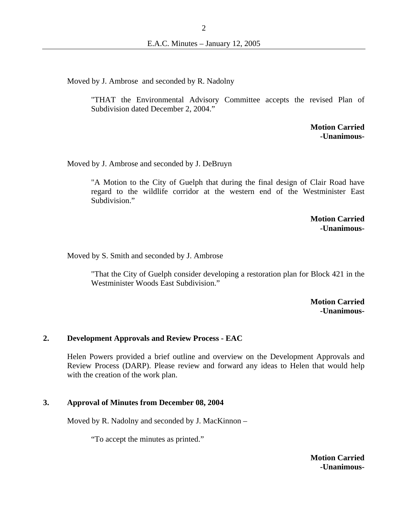Moved by J. Ambrose and seconded by R. Nadolny

"THAT the Environmental Advisory Committee accepts the revised Plan of Subdivision dated December 2, 2004."

> **Motion Carried -Unanimous-**

Moved by J. Ambrose and seconded by J. DeBruyn

"A Motion to the City of Guelph that during the final design of Clair Road have regard to the wildlife corridor at the western end of the Westminister East Subdivision."

> **Motion Carried -Unanimous-**

Moved by S. Smith and seconded by J. Ambrose

"That the City of Guelph consider developing a restoration plan for Block 421 in the Westminister Woods East Subdivision."

> **Motion Carried -Unanimous-**

#### **2. Development Approvals and Review Process - EAC**

Helen Powers provided a brief outline and overview on the Development Approvals and Review Process (DARP). Please review and forward any ideas to Helen that would help with the creation of the work plan.

#### **3. Approval of Minutes from December 08, 2004**

Moved by R. Nadolny and seconded by J. MacKinnon –

"To accept the minutes as printed."

**Motion Carried -Unanimous-**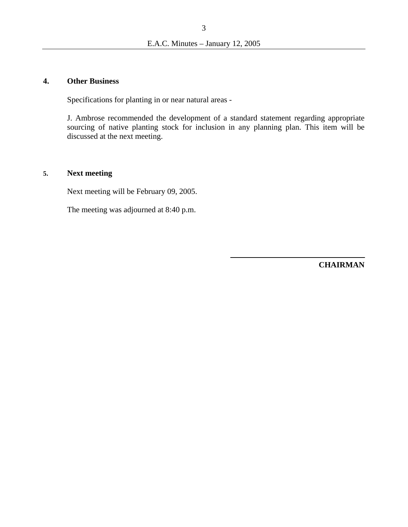#### **4. Other Business**

Specifications for planting in or near natural areas -

J. Ambrose recommended the development of a standard statement regarding appropriate sourcing of native planting stock for inclusion in any planning plan. This item will be discussed at the next meeting.

### **5. Next meeting**

Next meeting will be February 09, 2005.

The meeting was adjourned at 8:40 p.m.

**CHAIRMAN**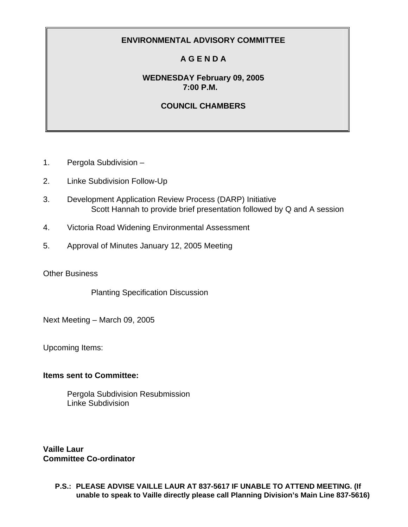# **A G E N D A**

### **WEDNESDAY February 09, 2005 7:00 P.M.**

### **COUNCIL CHAMBERS**

- 1. Pergola Subdivision –
- 2. Linke Subdivision Follow-Up
- 3. Development Application Review Process (DARP) Initiative Scott Hannah to provide brief presentation followed by Q and A session
- 4. Victoria Road Widening Environmental Assessment
- 5. Approval of Minutes January 12, 2005 Meeting

Other Business

Planting Specification Discussion

Next Meeting – March 09, 2005

Upcoming Items:

#### **Items sent to Committee:**

Pergola Subdivision Resubmission Linke Subdivision

**Vaille Laur Committee Co-ordinator**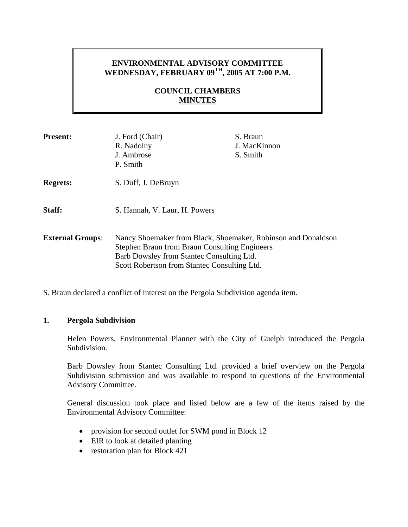### **ENVIRONMENTAL ADVISORY COMMITTEE WEDNESDAY, FEBRUARY 09TH, 2005 AT 7:00 P.M.**

### **COUNCIL CHAMBERS MINUTES**

| <b>Present:</b>         | J. Ford (Chair)<br>R. Nadolny<br>J. Ambrose<br>P. Smith                                                                                                                                                            | S. Braun<br>J. MacKinnon<br>S. Smith |
|-------------------------|--------------------------------------------------------------------------------------------------------------------------------------------------------------------------------------------------------------------|--------------------------------------|
| <b>Regrets:</b>         | S. Duff, J. DeBruyn                                                                                                                                                                                                |                                      |
| Staff:                  | S. Hannah, V. Laur, H. Powers                                                                                                                                                                                      |                                      |
| <b>External Groups:</b> | Nancy Shoemaker from Black, Shoemaker, Robinson and Donaldson<br><b>Stephen Braun from Braun Consulting Engineers</b><br>Barb Dowsley from Stantec Consulting Ltd.<br>Scott Robertson from Stantec Consulting Ltd. |                                      |

S. Braun declared a conflict of interest on the Pergola Subdivision agenda item.

#### **1. Pergola Subdivision**

Helen Powers, Environmental Planner with the City of Guelph introduced the Pergola Subdivision.

Barb Dowsley from Stantec Consulting Ltd. provided a brief overview on the Pergola Subdivision submission and was available to respond to questions of the Environmental Advisory Committee.

General discussion took place and listed below are a few of the items raised by the Environmental Advisory Committee:

- provision for second outlet for SWM pond in Block 12
- EIR to look at detailed planting
- restoration plan for Block 421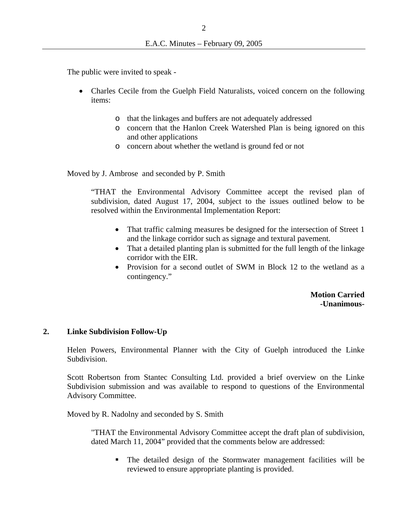The public were invited to speak -

- Charles Cecile from the Guelph Field Naturalists, voiced concern on the following items:
	- o that the linkages and buffers are not adequately addressed
	- o concern that the Hanlon Creek Watershed Plan is being ignored on this and other applications
	- o concern about whether the wetland is ground fed or not

Moved by J. Ambrose and seconded by P. Smith

"THAT the Environmental Advisory Committee accept the revised plan of subdivision, dated August 17, 2004, subject to the issues outlined below to be resolved within the Environmental Implementation Report:

- That traffic calming measures be designed for the intersection of Street 1 and the linkage corridor such as signage and textural pavement.
- That a detailed planting plan is submitted for the full length of the linkage corridor with the EIR.
- Provision for a second outlet of SWM in Block 12 to the wetland as a contingency."

**Motion Carried -Unanimous-**

#### **2. Linke Subdivision Follow-Up**

Helen Powers, Environmental Planner with the City of Guelph introduced the Linke Subdivision.

Scott Robertson from Stantec Consulting Ltd. provided a brief overview on the Linke Subdivision submission and was available to respond to questions of the Environmental Advisory Committee.

Moved by R. Nadolny and seconded by S. Smith

"THAT the Environmental Advisory Committee accept the draft plan of subdivision, dated March 11, 2004" provided that the comments below are addressed:

 The detailed design of the Stormwater management facilities will be reviewed to ensure appropriate planting is provided.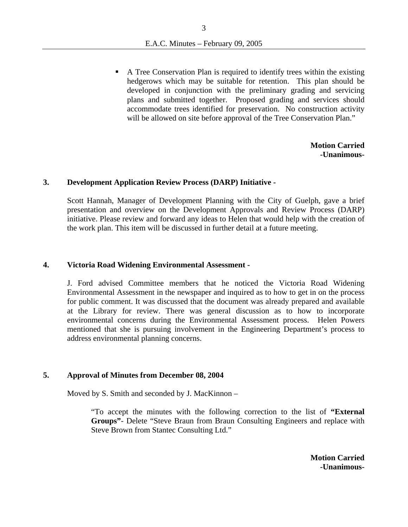A Tree Conservation Plan is required to identify trees within the existing hedgerows which may be suitable for retention. This plan should be developed in conjunction with the preliminary grading and servicing plans and submitted together. Proposed grading and services should accommodate trees identified for preservation. No construction activity will be allowed on site before approval of the Tree Conservation Plan."

> **Motion Carried -Unanimous-**

#### **3. Development Application Review Process (DARP) Initiative -**

Scott Hannah, Manager of Development Planning with the City of Guelph, gave a brief presentation and overview on the Development Approvals and Review Process (DARP) initiative. Please review and forward any ideas to Helen that would help with the creation of the work plan. This item will be discussed in further detail at a future meeting.

#### **4. Victoria Road Widening Environmental Assessment -**

J. Ford advised Committee members that he noticed the Victoria Road Widening Environmental Assessment in the newspaper and inquired as to how to get in on the process for public comment. It was discussed that the document was already prepared and available at the Library for review. There was general discussion as to how to incorporate environmental concerns during the Environmental Assessment process. Helen Powers mentioned that she is pursuing involvement in the Engineering Department's process to address environmental planning concerns.

#### **5. Approval of Minutes from December 08, 2004**

Moved by S. Smith and seconded by J. MacKinnon –

"To accept the minutes with the following correction to the list of **"External Groups"**- Delete "Steve Braun from Braun Consulting Engineers and replace with Steve Brown from Stantec Consulting Ltd."

> **Motion Carried -Unanimous-**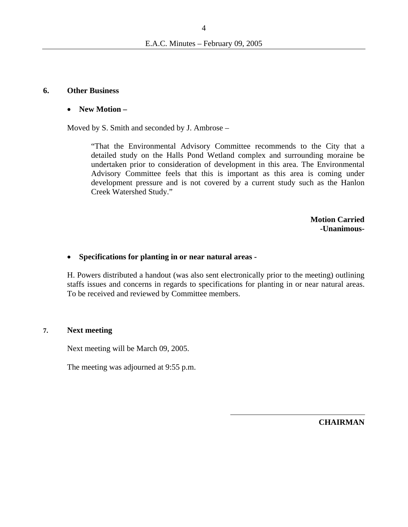#### **6. Other Business**

#### • **New Motion –**

Moved by S. Smith and seconded by J. Ambrose –

"That the Environmental Advisory Committee recommends to the City that a detailed study on the Halls Pond Wetland complex and surrounding moraine be undertaken prior to consideration of development in this area. The Environmental Advisory Committee feels that this is important as this area is coming under development pressure and is not covered by a current study such as the Hanlon Creek Watershed Study."

> **Motion Carried -Unanimous-**

#### • **Specifications for planting in or near natural areas -**

H. Powers distributed a handout (was also sent electronically prior to the meeting) outlining staffs issues and concerns in regards to specifications for planting in or near natural areas. To be received and reviewed by Committee members.

#### **7. Next meeting**

Next meeting will be March 09, 2005.

The meeting was adjourned at 9:55 p.m.

**CHAIRMAN**

4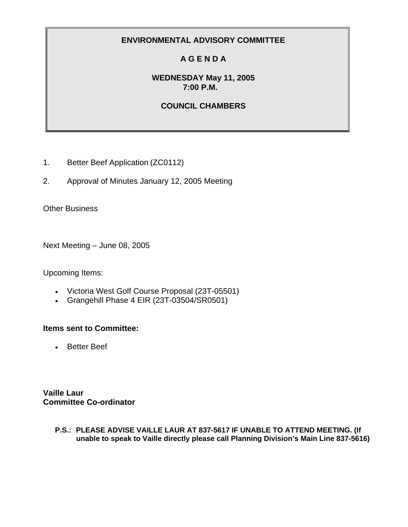# **A G E N D A**

### **WEDNESDAY May 11, 2005 7:00 P.M.**

# **COUNCIL CHAMBERS**

- 1. Better Beef Application (ZC0112)
- 2. Approval of Minutes January 12, 2005 Meeting

Other Business

Next Meeting – June 08, 2005

Upcoming Items:

- Victoria West Golf Course Proposal (23T-05501)
- Grangehill Phase 4 EIR (23T-03504/SR0501)

### **Items sent to Committee:**

• Better Beef

**Vaille Laur Committee Co-ordinator**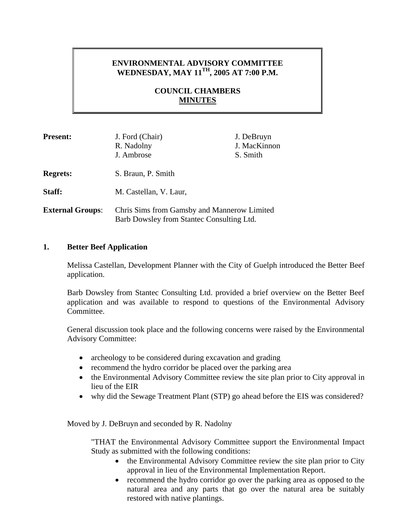# **ENVIRONMENTAL ADVISORY COMMITTEE WEDNESDAY, MAY 11TH, 2005 AT 7:00 P.M.**

### **COUNCIL CHAMBERS MINUTES**

| <b>Present:</b>         | J. Ford (Chair)<br>R. Nadolny<br>J. Ambrose                                              | J. DeBruyn<br>J. MacKinnon<br>S. Smith |
|-------------------------|------------------------------------------------------------------------------------------|----------------------------------------|
| <b>Regrets:</b>         | S. Braun, P. Smith                                                                       |                                        |
| Staff:                  | M. Castellan, V. Laur,                                                                   |                                        |
| <b>External Groups:</b> | Chris Sims from Gamsby and Mannerow Limited<br>Barb Dowsley from Stantec Consulting Ltd. |                                        |

#### **1. Better Beef Application**

Melissa Castellan, Development Planner with the City of Guelph introduced the Better Beef application.

Barb Dowsley from Stantec Consulting Ltd. provided a brief overview on the Better Beef application and was available to respond to questions of the Environmental Advisory Committee.

General discussion took place and the following concerns were raised by the Environmental Advisory Committee:

- archeology to be considered during excavation and grading
- recommend the hydro corridor be placed over the parking area
- the Environmental Advisory Committee review the site plan prior to City approval in lieu of the EIR
- why did the Sewage Treatment Plant (STP) go ahead before the EIS was considered?

Moved by J. DeBruyn and seconded by R. Nadolny

"THAT the Environmental Advisory Committee support the Environmental Impact Study as submitted with the following conditions:

- the Environmental Advisory Committee review the site plan prior to City approval in lieu of the Environmental Implementation Report.
- recommend the hydro corridor go over the parking area as opposed to the natural area and any parts that go over the natural area be suitably restored with native plantings.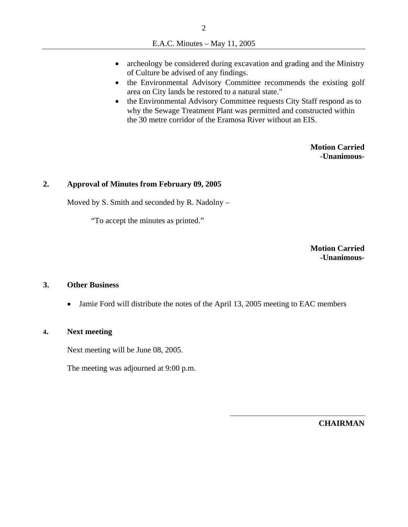- archeology be considered during excavation and grading and the Ministry of Culture be advised of any findings.
- the Environmental Advisory Committee recommends the existing golf area on City lands be restored to a natural state."
- the Environmental Advisory Committee requests City Staff respond as to why the Sewage Treatment Plant was permitted and constructed within the 30 metre corridor of the Eramosa River without an EIS.

**Motion Carried -Unanimous-**

### **2. Approval of Minutes from February 09, 2005**

Moved by S. Smith and seconded by R. Nadolny –

"To accept the minutes as printed."

**Motion Carried -Unanimous-**

#### **3. Other Business**

• Jamie Ford will distribute the notes of the April 13, 2005 meeting to EAC members

#### **4. Next meeting**

Next meeting will be June 08, 2005.

The meeting was adjourned at 9:00 p.m.

**CHAIRMAN**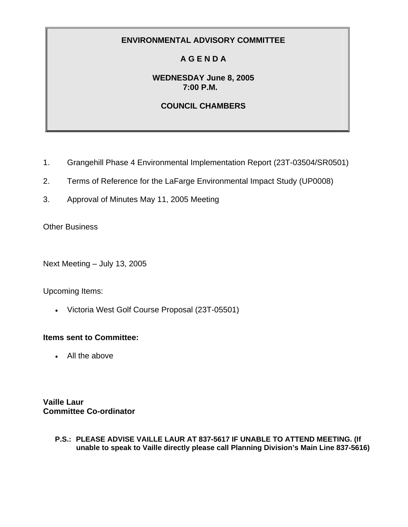# **A G E N D A**

### **WEDNESDAY June 8, 2005 7:00 P.M.**

### **COUNCIL CHAMBERS**

- 1. Grangehill Phase 4 Environmental Implementation Report (23T-03504/SR0501)
- 2. Terms of Reference for the LaFarge Environmental Impact Study (UP0008)
- 3. Approval of Minutes May 11, 2005 Meeting

**Other Business** 

Next Meeting – July 13, 2005

Upcoming Items:

• Victoria West Golf Course Proposal (23T-05501)

### **Items sent to Committee:**

• All the above

**Vaille Laur Committee Co-ordinator**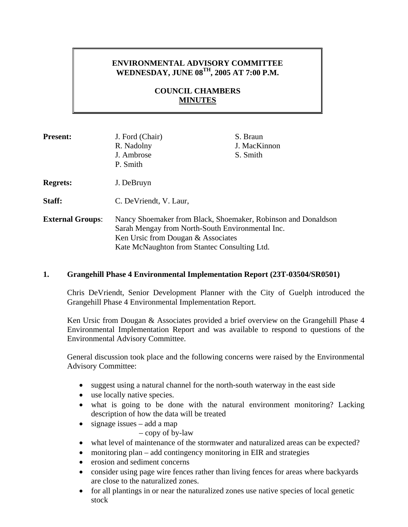### **ENVIRONMENTAL ADVISORY COMMITTEE WEDNESDAY, JUNE 08TH, 2005 AT 7:00 P.M.**

### **COUNCIL CHAMBERS MINUTES**

| <b>Present:</b>         | J. Ford (Chair)<br>R. Nadolny<br>J. Ambrose<br>P. Smith                                                                                                                                                 | S. Braun<br>J. MacKinnon<br>S. Smith |
|-------------------------|---------------------------------------------------------------------------------------------------------------------------------------------------------------------------------------------------------|--------------------------------------|
| <b>Regrets:</b>         | J. DeBruyn                                                                                                                                                                                              |                                      |
| Staff:                  | C. De Vriendt, V. Laur,                                                                                                                                                                                 |                                      |
| <b>External Groups:</b> | Nancy Shoemaker from Black, Shoemaker, Robinson and Donaldson<br>Sarah Mengay from North-South Environmental Inc.<br>Ken Ursic from Dougan & Associates<br>Kate McNaughton from Stantec Consulting Ltd. |                                      |

#### **1. Grangehill Phase 4 Environmental Implementation Report (23T-03504/SR0501)**

Chris DeVriendt, Senior Development Planner with the City of Guelph introduced the Grangehill Phase 4 Environmental Implementation Report.

Ken Ursic from Dougan & Associates provided a brief overview on the Grangehill Phase 4 Environmental Implementation Report and was available to respond to questions of the Environmental Advisory Committee.

General discussion took place and the following concerns were raised by the Environmental Advisory Committee:

- suggest using a natural channel for the north-south waterway in the east side
- use locally native species.
- what is going to be done with the natural environment monitoring? Lacking description of how the data will be treated
- signage issues  $-$  add a map

– copy of by-law

- what level of maintenance of the stormwater and naturalized areas can be expected?
- monitoring plan add contingency monitoring in EIR and strategies
- erosion and sediment concerns
- consider using page wire fences rather than living fences for areas where backyards are close to the naturalized zones.
- for all plantings in or near the naturalized zones use native species of local genetic stock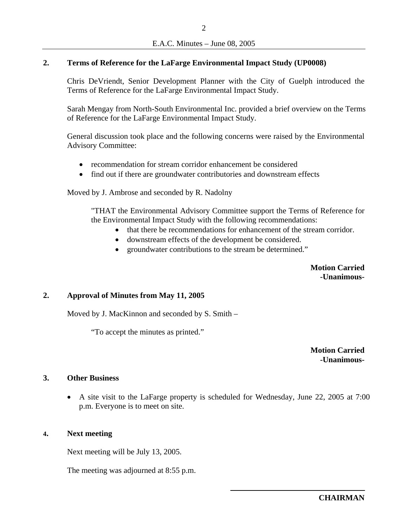### **2. Terms of Reference for the LaFarge Environmental Impact Study (UP0008)**

Chris DeVriendt, Senior Development Planner with the City of Guelph introduced the Terms of Reference for the LaFarge Environmental Impact Study.

Sarah Mengay from North-South Environmental Inc. provided a brief overview on the Terms of Reference for the LaFarge Environmental Impact Study.

General discussion took place and the following concerns were raised by the Environmental Advisory Committee:

- recommendation for stream corridor enhancement be considered
- find out if there are groundwater contributories and downstream effects

Moved by J. Ambrose and seconded by R. Nadolny

"THAT the Environmental Advisory Committee support the Terms of Reference for the Environmental Impact Study with the following recommendations:

- that there be recommendations for enhancement of the stream corridor.
- downstream effects of the development be considered.
- groundwater contributions to the stream be determined."

**Motion Carried -Unanimous-**

#### **2. Approval of Minutes from May 11, 2005**

Moved by J. MacKinnon and seconded by S. Smith –

"To accept the minutes as printed."

**Motion Carried -Unanimous-**

#### **3. Other Business**

• A site visit to the LaFarge property is scheduled for Wednesday, June 22, 2005 at 7:00 p.m. Everyone is to meet on site.

### **4. Next meeting**

Next meeting will be July 13, 2005.

The meeting was adjourned at 8:55 p.m.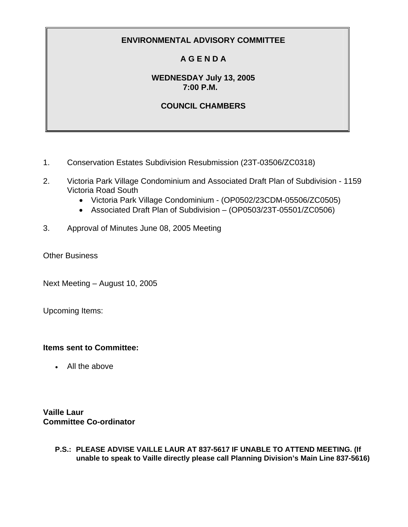# **A G E N D A**

### **WEDNESDAY July 13, 2005 7:00 P.M.**

# **COUNCIL CHAMBERS**

- 1. Conservation Estates Subdivision Resubmission (23T-03506/ZC0318)
- 2. Victoria Park Village Condominium and Associated Draft Plan of Subdivision 1159 Victoria Road South
	- Victoria Park Village Condominium (OP0502/23CDM-05506/ZC0505)
	- Associated Draft Plan of Subdivision (OP0503/23T-05501/ZC0506)
- 3. Approval of Minutes June 08, 2005 Meeting
- Other Business

Next Meeting – August 10, 2005

Upcoming Items:

### **Items sent to Committee:**

• All the above

**Vaille Laur Committee Co-ordinator**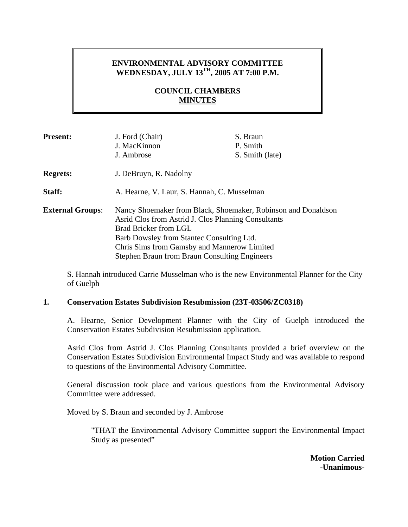## **ENVIRONMENTAL ADVISORY COMMITTEE WEDNESDAY, JULY 13TH, 2005 AT 7:00 P.M.**

### **COUNCIL CHAMBERS MINUTES**

| <b>Present:</b>         | J. Ford (Chair)<br>J. MacKinnon<br>J. Ambrose                                                                                                                                                                                                                                                     | S. Braun<br>P. Smith<br>S. Smith (late) |
|-------------------------|---------------------------------------------------------------------------------------------------------------------------------------------------------------------------------------------------------------------------------------------------------------------------------------------------|-----------------------------------------|
| <b>Regrets:</b>         | J. DeBruyn, R. Nadolny                                                                                                                                                                                                                                                                            |                                         |
| Staff:                  | A. Hearne, V. Laur, S. Hannah, C. Musselman                                                                                                                                                                                                                                                       |                                         |
| <b>External Groups:</b> | Nancy Shoemaker from Black, Shoemaker, Robinson and Donaldson<br>Asrid Clos from Astrid J. Clos Planning Consultants<br>Brad Bricker from LGL<br>Barb Dowsley from Stantec Consulting Ltd.<br>Chris Sims from Gamsby and Mannerow Limited<br><b>Stephen Braun from Braun Consulting Engineers</b> |                                         |

S. Hannah introduced Carrie Musselman who is the new Environmental Planner for the City of Guelph

#### **1. Conservation Estates Subdivision Resubmission (23T-03506/ZC0318)**

A. Hearne, Senior Development Planner with the City of Guelph introduced the Conservation Estates Subdivision Resubmission application.

Asrid Clos from Astrid J. Clos Planning Consultants provided a brief overview on the Conservation Estates Subdivision Environmental Impact Study and was available to respond to questions of the Environmental Advisory Committee.

General discussion took place and various questions from the Environmental Advisory Committee were addressed.

Moved by S. Braun and seconded by J. Ambrose

"THAT the Environmental Advisory Committee support the Environmental Impact Study as presented"

> **Motion Carried -Unanimous-**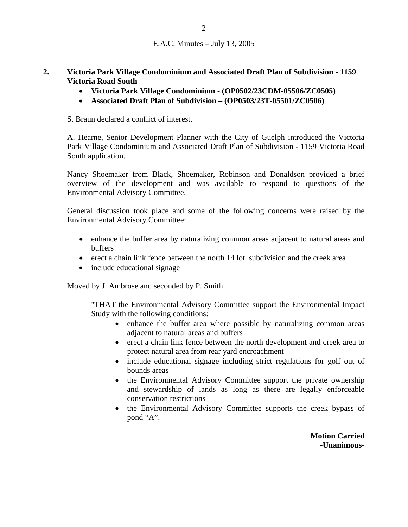- **2. Victoria Park Village Condominium and Associated Draft Plan of Subdivision 1159 Victoria Road South** 
	- **Victoria Park Village Condominium (OP0502/23CDM-05506/ZC0505)**
	- **Associated Draft Plan of Subdivision (OP0503/23T-05501/ZC0506)**

S. Braun declared a conflict of interest.

A. Hearne, Senior Development Planner with the City of Guelph introduced the Victoria Park Village Condominium and Associated Draft Plan of Subdivision - 1159 Victoria Road South application.

Nancy Shoemaker from Black, Shoemaker, Robinson and Donaldson provided a brief overview of the development and was available to respond to questions of the Environmental Advisory Committee.

General discussion took place and some of the following concerns were raised by the Environmental Advisory Committee:

- enhance the buffer area by naturalizing common areas adjacent to natural areas and buffers
- erect a chain link fence between the north 14 lot subdivision and the creek area
- include educational signage

Moved by J. Ambrose and seconded by P. Smith

"THAT the Environmental Advisory Committee support the Environmental Impact Study with the following conditions:

- enhance the buffer area where possible by naturalizing common areas adjacent to natural areas and buffers
- erect a chain link fence between the north development and creek area to protect natural area from rear yard encroachment
- include educational signage including strict regulations for golf out of bounds areas
- the Environmental Advisory Committee support the private ownership and stewardship of lands as long as there are legally enforceable conservation restrictions
- the Environmental Advisory Committee supports the creek bypass of pond "A".

**Motion Carried -Unanimous-**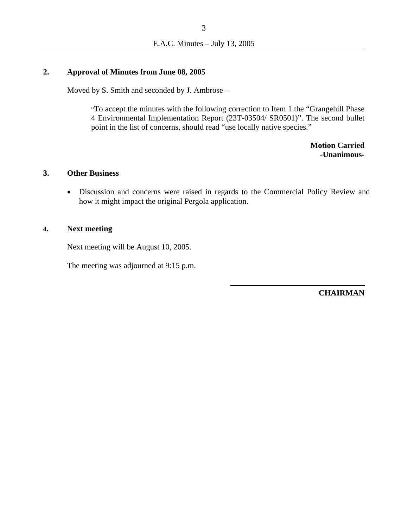#### **2. Approval of Minutes from June 08, 2005**

Moved by S. Smith and seconded by J. Ambrose –

"To accept the minutes with the following correction to Item 1 the "Grangehill Phase 4 Environmental Implementation Report (23T-03504/ SR0501)". The second bullet point in the list of concerns, should read "use locally native species."

> **Motion Carried -Unanimous-**

#### **3. Other Business**

• Discussion and concerns were raised in regards to the Commercial Policy Review and how it might impact the original Pergola application.

#### **4. Next meeting**

Next meeting will be August 10, 2005.

The meeting was adjourned at 9:15 p.m.

**CHAIRMAN**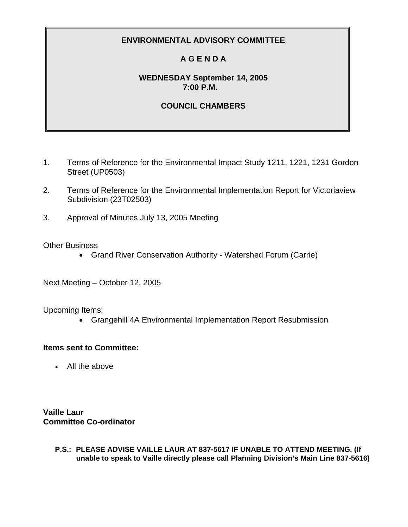# **A G E N D A**

### **WEDNESDAY September 14, 2005 7:00 P.M.**

## **COUNCIL CHAMBERS**

- 1. Terms of Reference for the Environmental Impact Study 1211, 1221, 1231 Gordon Street (UP0503)
- 2. Terms of Reference for the Environmental Implementation Report for Victoriaview Subdivision (23T02503)
- 3. Approval of Minutes July 13, 2005 Meeting

### Other Business

• Grand River Conservation Authority - Watershed Forum (Carrie)

Next Meeting – October 12, 2005

Upcoming Items:

• Grangehill 4A Environmental Implementation Report Resubmission

### **Items sent to Committee:**

• All the above

**Vaille Laur Committee Co-ordinator**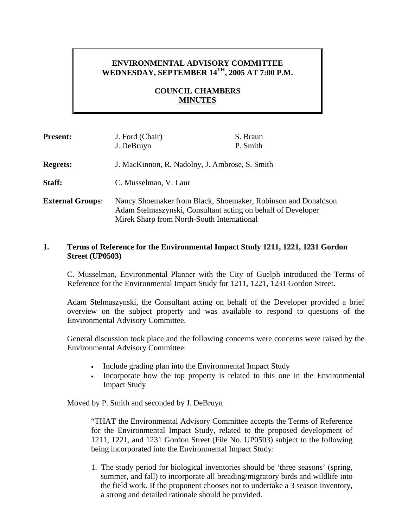# **ENVIRONMENTAL ADVISORY COMMITTEE WEDNESDAY, SEPTEMBER 14TH, 2005 AT 7:00 P.M.**

### **COUNCIL CHAMBERS MINUTES**

| <b>Present:</b>         | J. Ford (Chair)<br>J. DeBruyn                                                                                                                                               | S. Braun<br>P. Smith |
|-------------------------|-----------------------------------------------------------------------------------------------------------------------------------------------------------------------------|----------------------|
| <b>Regrets:</b>         | J. MacKinnon, R. Nadolny, J. Ambrose, S. Smith                                                                                                                              |                      |
| Staff:                  | C. Musselman, V. Laur                                                                                                                                                       |                      |
| <b>External Groups:</b> | Nancy Shoemaker from Black, Shoemaker, Robinson and Donaldson<br>Adam Stelmaszynski, Consultant acting on behalf of Developer<br>Mirek Sharp from North-South International |                      |

### **1. Terms of Reference for the Environmental Impact Study 1211, 1221, 1231 Gordon Street (UP0503)**

C. Musselman, Environmental Planner with the City of Guelph introduced the Terms of Reference for the Environmental Impact Study for 1211, 1221, 1231 Gordon Street.

Adam Stelmaszynski, the Consultant acting on behalf of the Developer provided a brief overview on the subject property and was available to respond to questions of the Environmental Advisory Committee.

General discussion took place and the following concerns were concerns were raised by the Environmental Advisory Committee:

- Include grading plan into the Environmental Impact Study
- Incorporate how the top property is related to this one in the Environmental Impact Study

Moved by P. Smith and seconded by J. DeBruyn

"THAT the Environmental Advisory Committee accepts the Terms of Reference for the Environmental Impact Study, related to the proposed development of 1211, 1221, and 1231 Gordon Street (File No. UP0503) subject to the following being incorporated into the Environmental Impact Study:

1. The study period for biological inventories should be 'three seasons' (spring, summer, and fall) to incorporate all breading/migratory birds and wildlife into the field work. If the proponent chooses not to undertake a 3 season inventory, a strong and detailed rationale should be provided.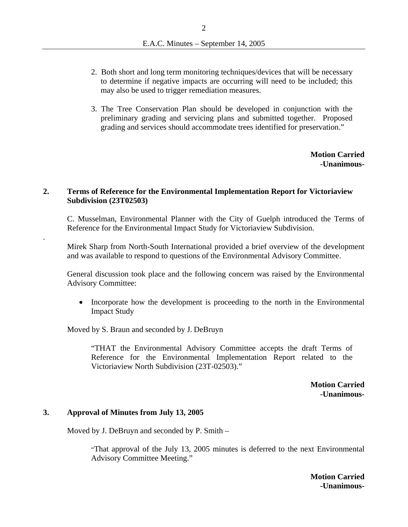- 2. Both short and long term monitoring techniques/devices that will be necessary to determine if negative impacts are occurring will need to be included; this may also be used to trigger remediation measures.
- 3. The Tree Conservation Plan should be developed in conjunction with the preliminary grading and servicing plans and submitted together. Proposed grading and services should accommodate trees identified for preservation."

**Motion Carried -Unanimous-**

#### **2. Terms of Reference for the Environmental Implementation Report for Victoriaview Subdivision (23T02503)**

C. Musselman, Environmental Planner with the City of Guelph introduced the Terms of Reference for the Environmental Impact Study for Victoriaview Subdivision.

Mirek Sharp from North-South International provided a brief overview of the development and was available to respond to questions of the Environmental Advisory Committee.

General discussion took place and the following concern was raised by the Environmental Advisory Committee:

• Incorporate how the development is proceeding to the north in the Environmental Impact Study

Moved by S. Braun and seconded by J. DeBruyn

"THAT the Environmental Advisory Committee accepts the draft Terms of Reference for the Environmental Implementation Report related to the Victoriaview North Subdivision (23T-02503)."

> **Motion Carried -Unanimous-**

#### **3. Approval of Minutes from July 13, 2005**

.

Moved by J. DeBruyn and seconded by P. Smith –

"That approval of the July 13, 2005 minutes is deferred to the next Environmental Advisory Committee Meeting."

> **Motion Carried -Unanimous-**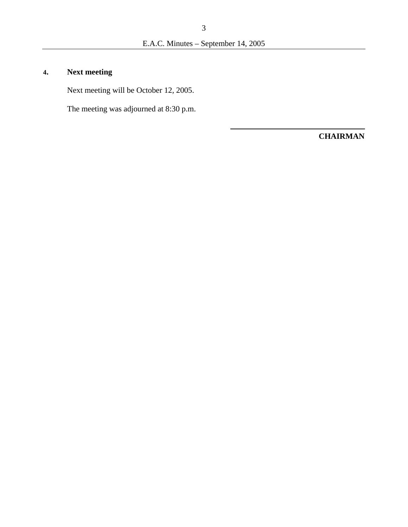# **4. Next meeting**

Next meeting will be October 12, 2005.

The meeting was adjourned at 8:30 p.m.

**CHAIRMAN**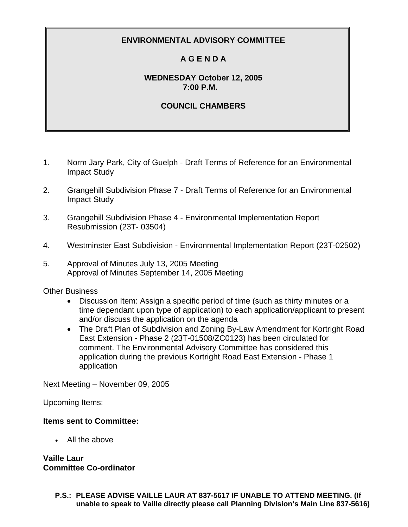# **A G E N D A**

### **WEDNESDAY October 12, 2005 7:00 P.M.**

## **COUNCIL CHAMBERS**

- 1. Norm Jary Park, City of Guelph Draft Terms of Reference for an Environmental Impact Study
- 2. Grangehill Subdivision Phase 7 Draft Terms of Reference for an Environmental Impact Study
- 3. Grangehill Subdivision Phase 4 Environmental Implementation Report Resubmission (23T- 03504)
- 4. Westminster East Subdivision Environmental Implementation Report (23T-02502)
- 5. Approval of Minutes July 13, 2005 Meeting Approval of Minutes September 14, 2005 Meeting

### Other Business

- Discussion Item: Assign a specific period of time (such as thirty minutes or a time dependant upon type of application) to each application/applicant to present and/or discuss the application on the agenda
- The Draft Plan of Subdivision and Zoning By-Law Amendment for Kortright Road East Extension - Phase 2 (23T-01508/ZC0123) has been circulated for comment. The Environmental Advisory Committee has considered this application during the previous Kortright Road East Extension - Phase 1 application

Next Meeting – November 09, 2005

Upcoming Items:

### **Items sent to Committee:**

• All the above

**Vaille Laur Committee Co-ordinator**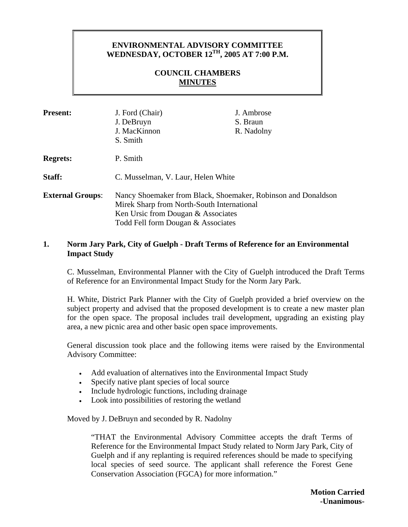### **ENVIRONMENTAL ADVISORY COMMITTEE WEDNESDAY, OCTOBER 12TH, 2005 AT 7:00 P.M.**

### **COUNCIL CHAMBERS MINUTES**

| <b>Present:</b>         | J. Ford (Chair)<br>J. DeBruyn<br>J. MacKinnon<br>S. Smith                                                                                                                               | J. Ambrose<br>S. Braun<br>R. Nadolny |  |
|-------------------------|-----------------------------------------------------------------------------------------------------------------------------------------------------------------------------------------|--------------------------------------|--|
| <b>Regrets:</b>         | P. Smith                                                                                                                                                                                |                                      |  |
| Staff:                  | C. Musselman, V. Laur, Helen White                                                                                                                                                      |                                      |  |
| <b>External Groups:</b> | Nancy Shoemaker from Black, Shoemaker, Robinson and Donaldson<br>Mirek Sharp from North-South International<br>Ken Ursic from Dougan & Associates<br>Todd Fell form Dougan & Associates |                                      |  |

#### **1. Norm Jary Park, City of Guelph - Draft Terms of Reference for an Environmental Impact Study**

 C. Musselman, Environmental Planner with the City of Guelph introduced the Draft Terms of Reference for an Environmental Impact Study for the Norm Jary Park.

 H. White, District Park Planner with the City of Guelph provided a brief overview on the subject property and advised that the proposed development is to create a new master plan for the open space. The proposal includes trail development, upgrading an existing play area, a new picnic area and other basic open space improvements.

General discussion took place and the following items were raised by the Environmental Advisory Committee:

- Add evaluation of alternatives into the Environmental Impact Study
- Specify native plant species of local source
- Include hydrologic functions, including drainage
- Look into possibilities of restoring the wetland

Moved by J. DeBruyn and seconded by R. Nadolny

"THAT the Environmental Advisory Committee accepts the draft Terms of Reference for the Environmental Impact Study related to Norm Jary Park, City of Guelph and if any replanting is required references should be made to specifying local species of seed source. The applicant shall reference the Forest Gene Conservation Association (FGCA) for more information."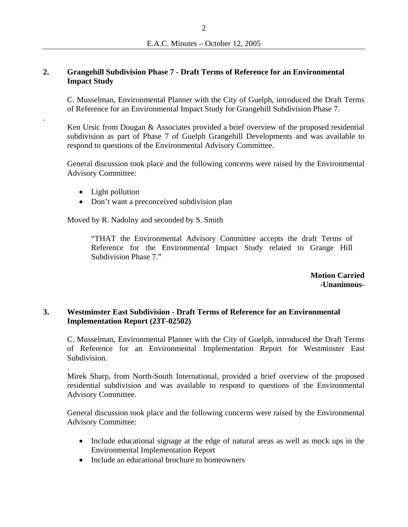#### **2. Grangehill Subdivision Phase 7 - Draft Terms of Reference for an Environmental Impact Study**

C. Musselman, Environmental Planner with the City of Guelph, introduced the Draft Terms of Reference for an Environmental Impact Study for Grangehill Subdivision Phase 7.

Ken Ursic from Dougan & Associates provided a brief overview of the proposed residential subdivision as part of Phase 7 of Guelph Grangehill Developments and was available to respond to questions of the Environmental Advisory Committee.

General discussion took place and the following concerns were raised by the Environmental Advisory Committee:

• Light pollution

.

.

• Don't want a preconceived subdivision plan

Moved by R. Nadolny and seconded by S. Smith

"THAT the Environmental Advisory Committee accepts the draft Terms of Reference for the Environmental Impact Study related to Grange Hill Subdivision Phase 7."

> **Motion Carried -Unanimous-**

### **3. Westminster East Subdivision - Draft Terms of Reference for an Environmental Implementation Report (23T-02502)**

C. Musselman, Environmental Planner with the City of Guelph, introduced the Draft Terms of Reference for an Environmental Implementation Report for Westminster East Subdivision.

Mirek Sharp, from North-South International, provided a brief overview of the proposed residential subdivision and was available to respond to questions of the Environmental Advisory Committee.

General discussion took place and the following concerns were raised by the Environmental Advisory Committee:

- Include educational signage at the edge of natural areas as well as mock ups in the Environmental Implementation Report
- Include an educational brochure to homeowners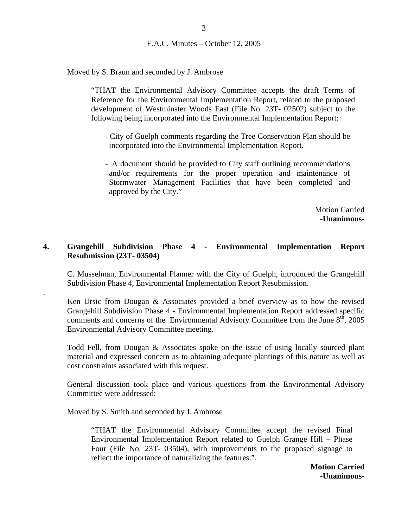Moved by S. Braun and seconded by J. Ambrose

"THAT the Environmental Advisory Committee accepts the draft Terms of Reference for the Environmental Implementation Report, related to the proposed development of Westminster Woods East (File No. 23T- 02502) subject to the following being incorporated into the Environmental Implementation Report:

- City of Guelph comments regarding the Tree Conservation Plan should be incorporated into the Environmental Implementation Report.
- A document should be provided to City staff outlining recommendations and/or requirements for the proper operation and maintenance of Stormwater Management Facilities that have been completed and approved by the City."

Motion Carried **-Unanimous-**

### **4. Grangehill Subdivision Phase 4 - Environmental Implementation Report Resubmission (23T- 03504)**

C. Musselman, Environmental Planner with the City of Guelph, introduced the Grangehill Subdivision Phase 4, Environmental Implementation Report Resubmission.

Ken Ursic from Dougan & Associates provided a brief overview as to how the revised Grangehill Subdivision Phase 4 - Environmental Implementation Report addressed specific comments and concerns of the Environmental Advisory Committee from the June  $8<sup>th</sup>$ , 2005 Environmental Advisory Committee meeting.

Todd Fell, from Dougan & Associates spoke on the issue of using locally sourced plant material and expressed concern as to obtaining adequate plantings of this nature as well as cost constraints associated with this request.

General discussion took place and various questions from the Environmental Advisory Committee were addressed:

Moved by S. Smith and seconded by J. Ambrose

.

"THAT the Environmental Advisory Committee accept the revised Final Environmental Implementation Report related to Guelph Grange Hill – Phase Four (File No. 23T- 03504), with improvements to the proposed signage to reflect the importance of naturalizing the features.".

> **Motion Carried -Unanimous-**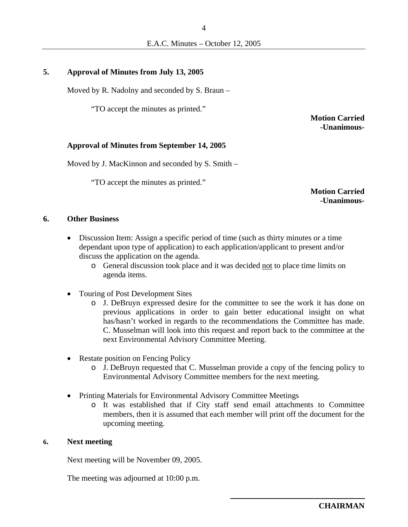### **5. Approval of Minutes from July 13, 2005**

Moved by R. Nadolny and seconded by S. Braun –

"TO accept the minutes as printed."

**Motion Carried -Unanimous-**

#### **Approval of Minutes from September 14, 2005**

Moved by J. MacKinnon and seconded by S. Smith –

"TO accept the minutes as printed."

**Motion Carried -Unanimous-**

### **6. Other Business**

- Discussion Item: Assign a specific period of time (such as thirty minutes or a time dependant upon type of application) to each application/applicant to present and/or discuss the application on the agenda.
	- o General discussion took place and it was decided not to place time limits on agenda items.
- Touring of Post Development Sites
	- o J. DeBruyn expressed desire for the committee to see the work it has done on previous applications in order to gain better educational insight on what has/hasn't worked in regards to the recommendations the Committee has made. C. Musselman will look into this request and report back to the committee at the next Environmental Advisory Committee Meeting.
- Restate position on Fencing Policy
	- o J. DeBruyn requested that C. Musselman provide a copy of the fencing policy to Environmental Advisory Committee members for the next meeting.
- Printing Materials for Environmental Advisory Committee Meetings
	- o It was established that if City staff send email attachments to Committee members, then it is assumed that each member will print off the document for the upcoming meeting.

#### **6. Next meeting**

Next meeting will be November 09, 2005.

The meeting was adjourned at 10:00 p.m.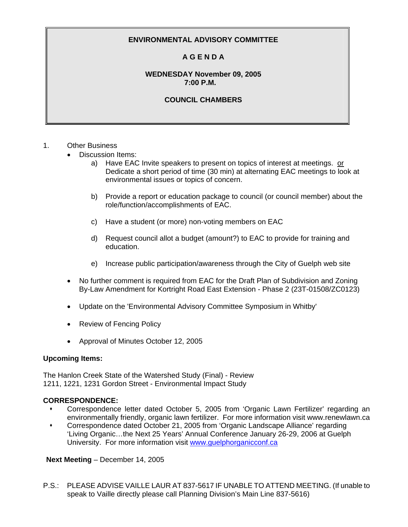### **A G E N D A**

#### **WEDNESDAY November 09, 2005 7:00 P.M.**

#### **COUNCIL CHAMBERS**

#### 1. Other Business

- Discussion Items:
	- a) Have EAC Invite speakers to present on topics of interest at meetings. or Dedicate a short period of time (30 min) at alternating EAC meetings to look at environmental issues or topics of concern.
	- b) Provide a report or education package to council (or council member) about the role/function/accomplishments of EAC.
	- c) Have a student (or more) non-voting members on EAC
	- d) Request council allot a budget (amount?) to EAC to provide for training and education.
	- e) Increase public participation/awareness through the City of Guelph web site
- No further comment is required from EAC for the Draft Plan of Subdivision and Zoning By-Law Amendment for Kortright Road East Extension - Phase 2 (23T-01508/ZC0123)
- Update on the 'Environmental Advisory Committee Symposium in Whitby'
- Review of Fencing Policy
- Approval of Minutes October 12, 2005

#### **Upcoming Items:**

The Hanlon Creek State of the Watershed Study (Final) - Review 1211, 1221, 1231 Gordon Street - Environmental Impact Study

#### **CORRESPONDENCE:**

- Correspondence letter dated October 5, 2005 from 'Organic Lawn Fertilizer' regarding an environmentally friendly, organic lawn fertilizer. For more information visit www.renewlawn.ca
- Correspondence dated October 21, 2005 from 'Organic Landscape Alliance' regarding 'Living Organic…the Next 25 Years' Annual Conference January 26-29, 2006 at Guelph University. For more information visit www.guelphorganicconf.ca

**Next Meeting** – December 14, 2005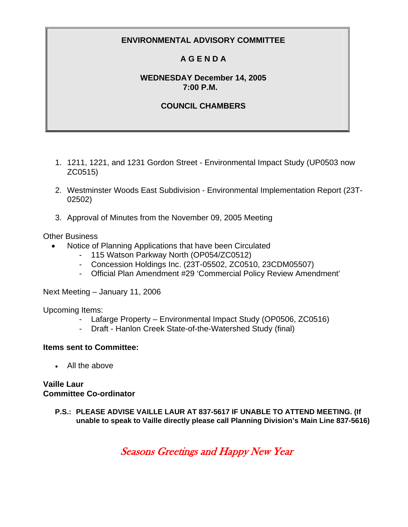# **A G E N D A**

### **WEDNESDAY December 14, 2005 7:00 P.M.**

### **COUNCIL CHAMBERS**

- 1. 1211, 1221, and 1231 Gordon Street Environmental Impact Study (UP0503 now ZC0515)
- 2. Westminster Woods East Subdivision Environmental Implementation Report (23T-02502)
- 3. Approval of Minutes from the November 09, 2005 Meeting

### Other Business

- Notice of Planning Applications that have been Circulated
	- 115 Watson Parkway North (OP054/ZC0512)
	- Concession Holdings Inc. (23T-05502, ZC0510, 23CDM05507)
	- Official Plan Amendment #29 'Commercial Policy Review Amendment'

Next Meeting – January 11, 2006

Upcoming Items:

- Lafarge Property Environmental Impact Study (OP0506, ZC0516)
- Draft Hanlon Creek State-of-the-Watershed Study (final)

### **Items sent to Committee:**

• All the above

**Vaille Laur Committee Co-ordinator** 

> **P.S.: PLEASE ADVISE VAILLE LAUR AT 837-5617 IF UNABLE TO ATTEND MEETING. (If unable to speak to Vaille directly please call Planning Division's Main Line 837-5616)**

> > Seasons Greetings and Happy New Year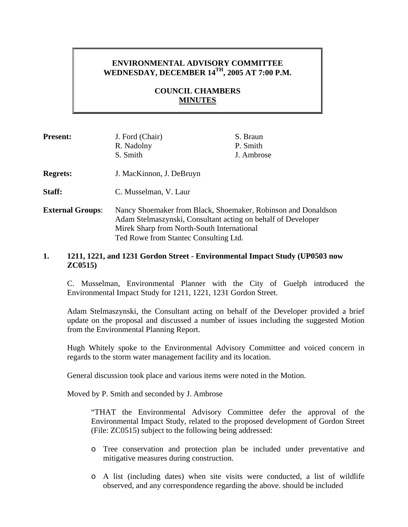# **ENVIRONMENTAL ADVISORY COMMITTEE WEDNESDAY, DECEMBER 14TH, 2005 AT 7:00 P.M.**

### **COUNCIL CHAMBERS MINUTES**

| <b>Present:</b>         | J. Ford (Chair)<br>R. Nadolny<br>S. Smith                                                                                                                                   | S. Braun<br>P. Smith<br>J. Ambrose |
|-------------------------|-----------------------------------------------------------------------------------------------------------------------------------------------------------------------------|------------------------------------|
| <b>Regrets:</b>         | J. MacKinnon, J. DeBruyn                                                                                                                                                    |                                    |
| Staff:                  | C. Musselman, V. Laur                                                                                                                                                       |                                    |
| <b>External Groups:</b> | Nancy Shoemaker from Black, Shoemaker, Robinson and Donaldson<br>Adam Stelmaszynski, Consultant acting on behalf of Developer<br>Mirek Sharp from North-South International |                                    |

Ted Rowe from Stantec Consulting Ltd.

### **1. 1211, 1221, and 1231 Gordon Street - Environmental Impact Study (UP0503 now ZC0515)**

C. Musselman, Environmental Planner with the City of Guelph introduced the Environmental Impact Study for 1211, 1221, 1231 Gordon Street.

Adam Stelmaszynski, the Consultant acting on behalf of the Developer provided a brief update on the proposal and discussed a number of issues including the suggested Motion from the Environmental Planning Report.

Hugh Whitely spoke to the Environmental Advisory Committee and voiced concern in regards to the storm water management facility and its location.

General discussion took place and various items were noted in the Motion.

Moved by P. Smith and seconded by J. Ambrose

"THAT the Environmental Advisory Committee defer the approval of the Environmental Impact Study, related to the proposed development of Gordon Street (File: ZC0515) subject to the following being addressed:

- o Tree conservation and protection plan be included under preventative and mitigative measures during construction.
- o A list (including dates) when site visits were conducted, a list of wildlife observed, and any correspondence regarding the above. should be included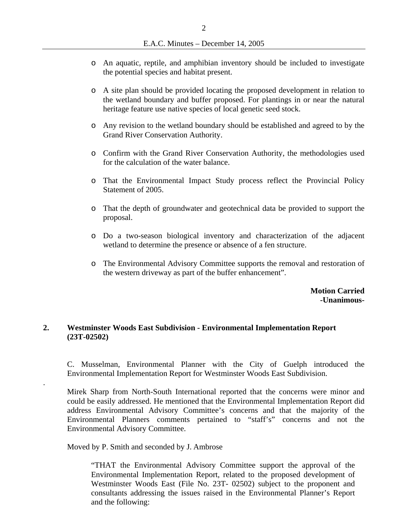- o An aquatic, reptile, and amphibian inventory should be included to investigate the potential species and habitat present.
- o A site plan should be provided locating the proposed development in relation to the wetland boundary and buffer proposed. For plantings in or near the natural heritage feature use native species of local genetic seed stock.
- o Any revision to the wetland boundary should be established and agreed to by the Grand River Conservation Authority.
- o Confirm with the Grand River Conservation Authority, the methodologies used for the calculation of the water balance.
- o That the Environmental Impact Study process reflect the Provincial Policy Statement of 2005.
- o That the depth of groundwater and geotechnical data be provided to support the proposal.
- o Do a two-season biological inventory and characterization of the adjacent wetland to determine the presence or absence of a fen structure.
- o The Environmental Advisory Committee supports the removal and restoration of the western driveway as part of the buffer enhancement".

**Motion Carried -Unanimous-**

### **2. Westminster Woods East Subdivision - Environmental Implementation Report (23T-02502)**

C. Musselman, Environmental Planner with the City of Guelph introduced the Environmental Implementation Report for Westminster Woods East Subdivision.

Mirek Sharp from North-South International reported that the concerns were minor and could be easily addressed. He mentioned that the Environmental Implementation Report did address Environmental Advisory Committee's concerns and that the majority of the Environmental Planners comments pertained to "staff's" concerns and not the Environmental Advisory Committee.

Moved by P. Smith and seconded by J. Ambrose

.

"THAT the Environmental Advisory Committee support the approval of the Environmental Implementation Report, related to the proposed development of Westminster Woods East (File No. 23T- 02502) subject to the proponent and consultants addressing the issues raised in the Environmental Planner's Report and the following: